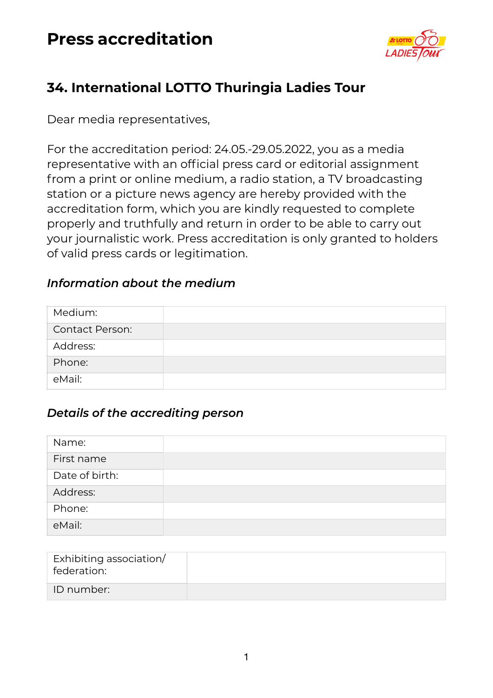

### **34. International LOTTO Thuringia Ladies Tour**

Dear media representatives,

For the accreditation period: 24.05.-29.05.2022, you as a media representative with an official press card or editorial assignment from a print or online medium, a radio station, a TV broadcasting station or a picture news agency are hereby provided with the accreditation form, which you are kindly requested to complete properly and truthfully and return in order to be able to carry out your journalistic work. Press accreditation is only granted to holders of valid press cards or legitimation.

#### *Information about the medium*

| Medium:                |  |
|------------------------|--|
| <b>Contact Person:</b> |  |
| Address:               |  |
| Phone:                 |  |
| eMail:                 |  |

#### *Details of the accrediting person*

| Name:          |  |
|----------------|--|
| First name     |  |
| Date of birth: |  |
| Address:       |  |
| Phone:         |  |
| eMail:         |  |

| Exhibiting association/<br>federation: |  |
|----------------------------------------|--|
| ID number:                             |  |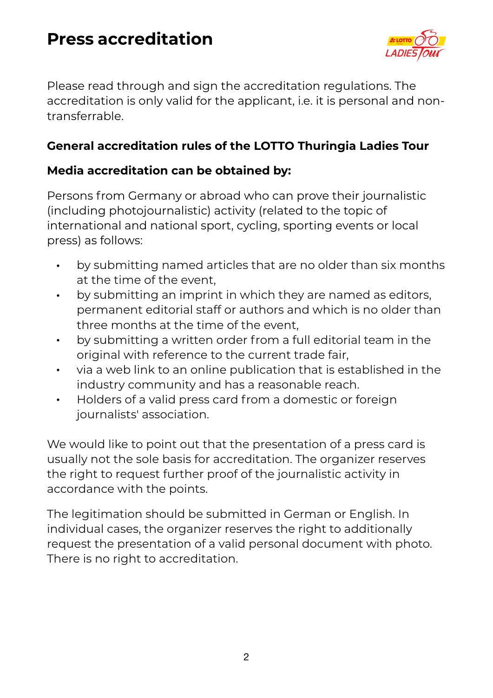

Please read through and sign the accreditation regulations. The accreditation is only valid for the applicant, i.e. it is personal and nontransferrable.

#### **General accreditation rules of the LOTTO Thuringia Ladies Tour**

### **Media accreditation can be obtained by:**

Persons from Germany or abroad who can prove their journalistic (including photojournalistic) activity (related to the topic of international and national sport, cycling, sporting events or local press) as follows:

- by submitting named articles that are no older than six months at the time of the event,
- by submitting an imprint in which they are named as editors, permanent editorial staff or authors and which is no older than three months at the time of the event,
- by submitting a written order from a full editorial team in the original with reference to the current trade fair,
- via a web link to an online publication that is established in the industry community and has a reasonable reach.
- Holders of a valid press card from a domestic or foreign journalists' association.

We would like to point out that the presentation of a press card is usually not the sole basis for accreditation. The organizer reserves the right to request further proof of the journalistic activity in accordance with the points.

The legitimation should be submitted in German or English. In individual cases, the organizer reserves the right to additionally request the presentation of a valid personal document with photo. There is no right to accreditation.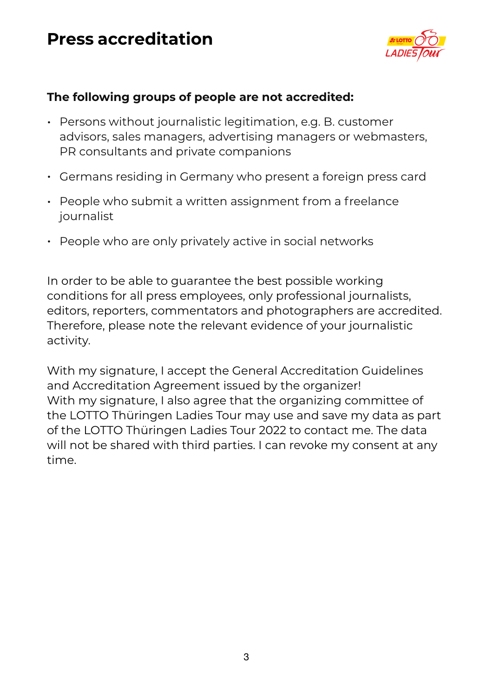

### **The following groups of people are not accredited:**

- Persons without journalistic legitimation, e.g. B. customer advisors, sales managers, advertising managers or webmasters, PR consultants and private companions
- Germans residing in Germany who present a foreign press card
- People who submit a written assignment from a freelance journalist
- People who are only privately active in social networks

In order to be able to guarantee the best possible working conditions for all press employees, only professional journalists, editors, reporters, commentators and photographers are accredited. Therefore, please note the relevant evidence of your journalistic activity.

With my signature, I accept the General Accreditation Guidelines and Accreditation Agreement issued by the organizer! With my signature, I also agree that the organizing committee of the LOTTO Thüringen Ladies Tour may use and save my data as part of the LOTTO Thüringen Ladies Tour 2022 to contact me. The data will not be shared with third parties. I can revoke my consent at any time.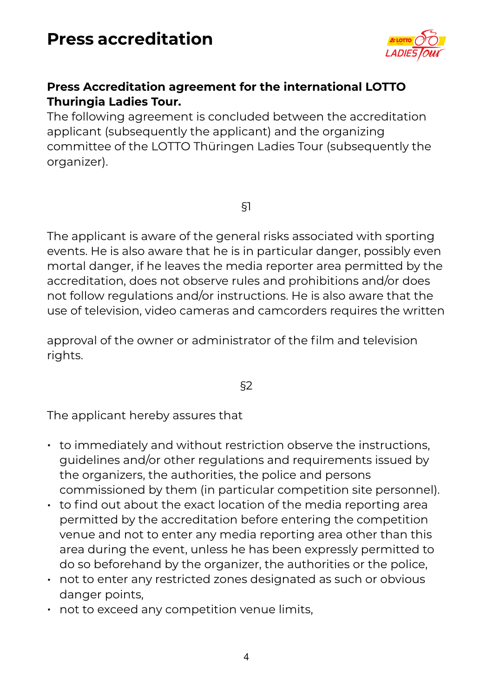

#### **Press Accreditation agreement for the international LOTTO Thuringia Ladies Tour.**

The following agreement is concluded between the accreditation applicant (subsequently the applicant) and the organizing committee of the LOTTO Thüringen Ladies Tour (subsequently the organizer).

§1

The applicant is aware of the general risks associated with sporting events. He is also aware that he is in particular danger, possibly even mortal danger, if he leaves the media reporter area permitted by the accreditation, does not observe rules and prohibitions and/or does not follow regulations and/or instructions. He is also aware that the use of television, video cameras and camcorders requires the written

approval of the owner or administrator of the film and television rights.

§2

The applicant hereby assures that

- to immediately and without restriction observe the instructions, guidelines and/or other regulations and requirements issued by the organizers, the authorities, the police and persons commissioned by them (in particular competition site personnel).
- to find out about the exact location of the media reporting area permitted by the accreditation before entering the competition venue and not to enter any media reporting area other than this area during the event, unless he has been expressly permitted to do so beforehand by the organizer, the authorities or the police,
- not to enter any restricted zones designated as such or obvious danger points,
- not to exceed any competition venue limits,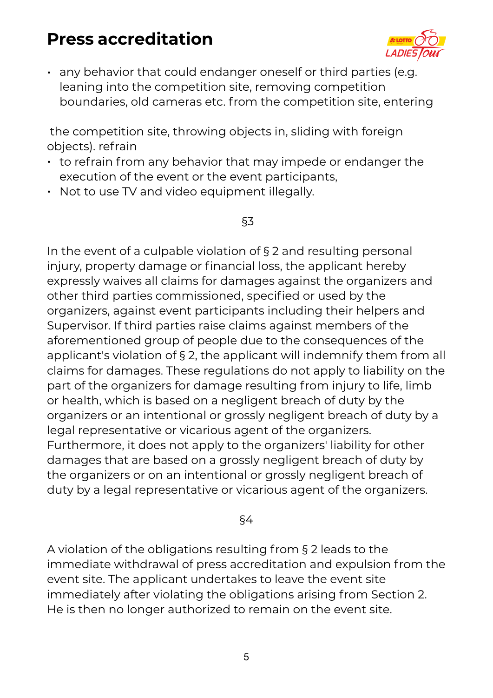

• any behavior that could endanger oneself or third parties (e.g. leaning into the competition site, removing competition boundaries, old cameras etc. from the competition site, entering

 the competition site, throwing objects in, sliding with foreign objects). refrain

- to refrain from any behavior that may impede or endanger the execution of the event or the event participants,
- Not to use TV and video equipment illegally.

#### §3

In the event of a culpable violation of § 2 and resulting personal injury, property damage or financial loss, the applicant hereby expressly waives all claims for damages against the organizers and other third parties commissioned, specified or used by the organizers, against event participants including their helpers and Supervisor. If third parties raise claims against members of the aforementioned group of people due to the consequences of the applicant's violation of § 2, the applicant will indemnify them from all claims for damages. These regulations do not apply to liability on the part of the organizers for damage resulting from injury to life, limb or health, which is based on a negligent breach of duty by the organizers or an intentional or grossly negligent breach of duty by a legal representative or vicarious agent of the organizers. Furthermore, it does not apply to the organizers' liability for other damages that are based on a grossly negligent breach of duty by the organizers or on an intentional or grossly negligent breach of duty by a legal representative or vicarious agent of the organizers.

#### §4

A violation of the obligations resulting from § 2 leads to the immediate withdrawal of press accreditation and expulsion from the event site. The applicant undertakes to leave the event site immediately after violating the obligations arising from Section 2. He is then no longer authorized to remain on the event site.